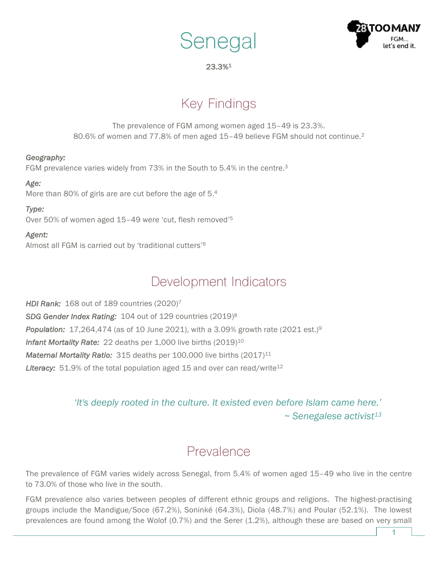



### 23.3%1

# Key Findings

The prevalence of FGM among women aged 15–49 is 23.3%. 80.6% of women and 77.8% of men aged 15–49 believe FGM should not continue.2

### *Geography:*

FGM prevalence varies widely from 73% in the South to 5.4% in the centre.3

### *Age:*

More than 80% of girls are are cut before the age of 5.4

### *Type:*

Over 50% of women aged 15–49 were 'cut, flesh removed'5

### *Agent:*

Almost all FGM is carried out by 'traditional cutters' 6

## Development Indicators

*HDI Rank:* 168 out of 189 countries (2020)7 *SDG Gender Index Rating:* 104 out of 129 countries (2019)8 *Population:* 17,264,474 (as of 10 June 2021), with a 3.09% growth rate (2021 est.)9 **Infant Mortality Rate:** 22 deaths per 1,000 live births (2019)<sup>10</sup> *Maternal Mortality Ratio:* 315 deaths per 100,000 live births (2017)<sup>11</sup> Literacy: 51.9% of the total population aged 15 and over can read/write<sup>12</sup>

### *'It's deeply rooted in the culture. It existed even before Islam came here.' ~ Senegalese activist13*

# Prevalence

The prevalence of FGM varies widely across Senegal, from 5.4% of women aged 15–49 who live in the centre to 73.0% of those who live in the south.

FGM prevalence also varies between peoples of different ethnic groups and religions. The highest-practising groups include the Mandigue/Soce (67.2%), Soninké (64.3%), Diola (48.7%) and Poular (52.1%). The lowest prevalences are found among the Wolof (0.7%) and the Serer (1.2%), although these are based on very small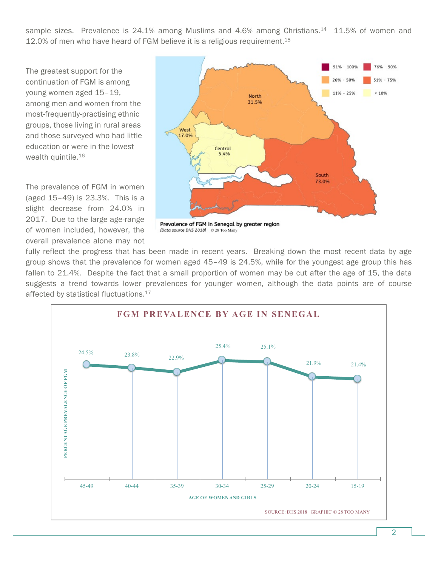sample sizes. Prevalence is 24.1% among Muslims and 4.6% among Christians.<sup>14</sup> 11.5% of women and 12.0% of men who have heard of FGM believe it is a religious requirement.<sup>15</sup>

The greatest support for the continuation of FGM is among young women aged 15–19, among men and women from the most-frequently-practising ethnic groups, those living in rural areas and those surveyed who had little education or were in the lowest wealth quintile.<sup>16</sup>

The prevalence of FGM in women (aged 15–49) is 23.3%. This is a slight decrease from 24.0% in 2017. Due to the large age-range of women included, however, the overall prevalence alone may not



Prevalence of FGM in Senegal by greater region [Data source DHS 2018] © 28 Too Many

fully reflect the progress that has been made in recent years. Breaking down the most recent data by age group shows that the prevalence for women aged 45–49 is 24.5%, while for the youngest age group this has fallen to 21.4%. Despite the fact that a small proportion of women may be cut after the age of 15, the data suggests a trend towards lower prevalences for younger women, although the data points are of course affected by statistical fluctuations.17